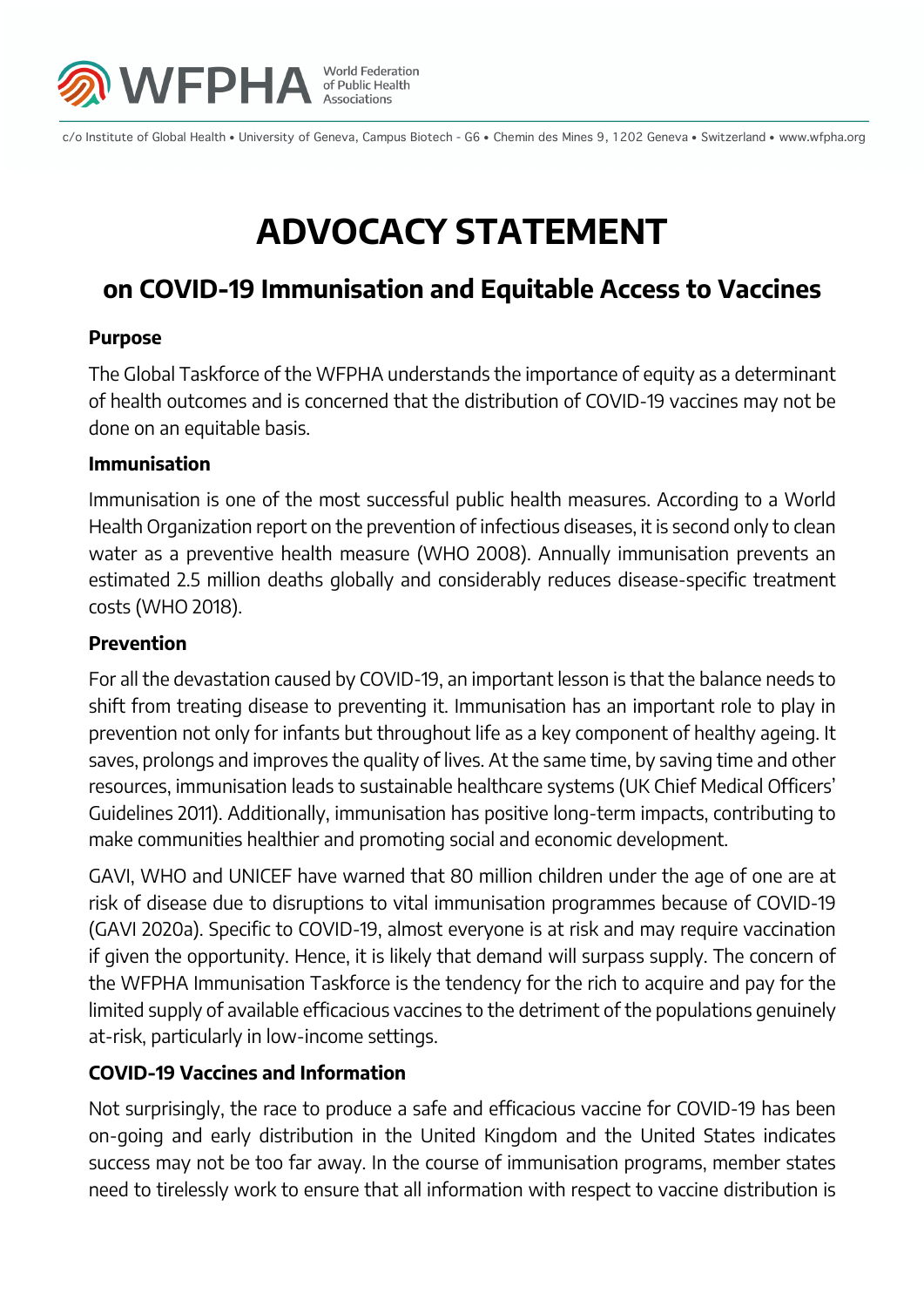

c/o Institute of Global Health • University of Geneva, Campus Biotech - G6 • Chemin des Mines 9, 1202 Geneva • Switzerland • www.wfpha.org

# **ADVOCACY STATEMENT**

## **on COVID-19 Immunisation and Equitable Access to Vaccines**

### **Purpose**

The Global Taskforce of the WFPHA understands the importance of equity as a determinant of health outcomes and is concerned that the distribution of COVID-19 vaccines may not be done on an equitable basis.

### **Immunisation**

Immunisation is one of the most successful public health measures. According to a World Health Organization report on the prevention of infectious diseases, it is second only to clean water as a preventive health measure (WHO 2008). Annually immunisation prevents an estimated 2.5 million deaths globally and considerably reduces disease-specific treatment costs (WHO 2018).

### **Prevention**

For all the devastation caused by COVID-19, an important lesson is that the balance needs to shift from treating disease to preventing it. Immunisation has an important role to play in prevention not only for infants but throughout life as a key component of healthy ageing. It saves, prolongs and improves the quality of lives. At the same time, by saving time and other resources, immunisation leads to sustainable healthcare systems (UK Chief Medical Officers' Guidelines 2011). Additionally, immunisation has positive long-term impacts, contributing to make communities healthier and promoting social and economic development.

GAVI, WHO and UNICEF have warned that 80 million children under the age of one are at risk of disease due to disruptions to vital immunisation programmes because of COVID-19 (GAVI 2020a). Specific to COVID-19, almost everyone is at risk and may require vaccination if given the opportunity. Hence, it is likely that demand will surpass supply. The concern of the WFPHA Immunisation Taskforce is the tendency for the rich to acquire and pay for the limited supply of available efficacious vaccines to the detriment of the populations genuinely at-risk, particularly in low-income settings.

### **COVID-19 Vaccines and Information**

Not surprisingly, the race to produce a safe and efficacious vaccine for COVID-19 has been on-going and early distribution in the United Kingdom and the United States indicates success may not be too far away. In the course of immunisation programs, member states need to tirelessly work to ensure that all information with respect to vaccine distribution is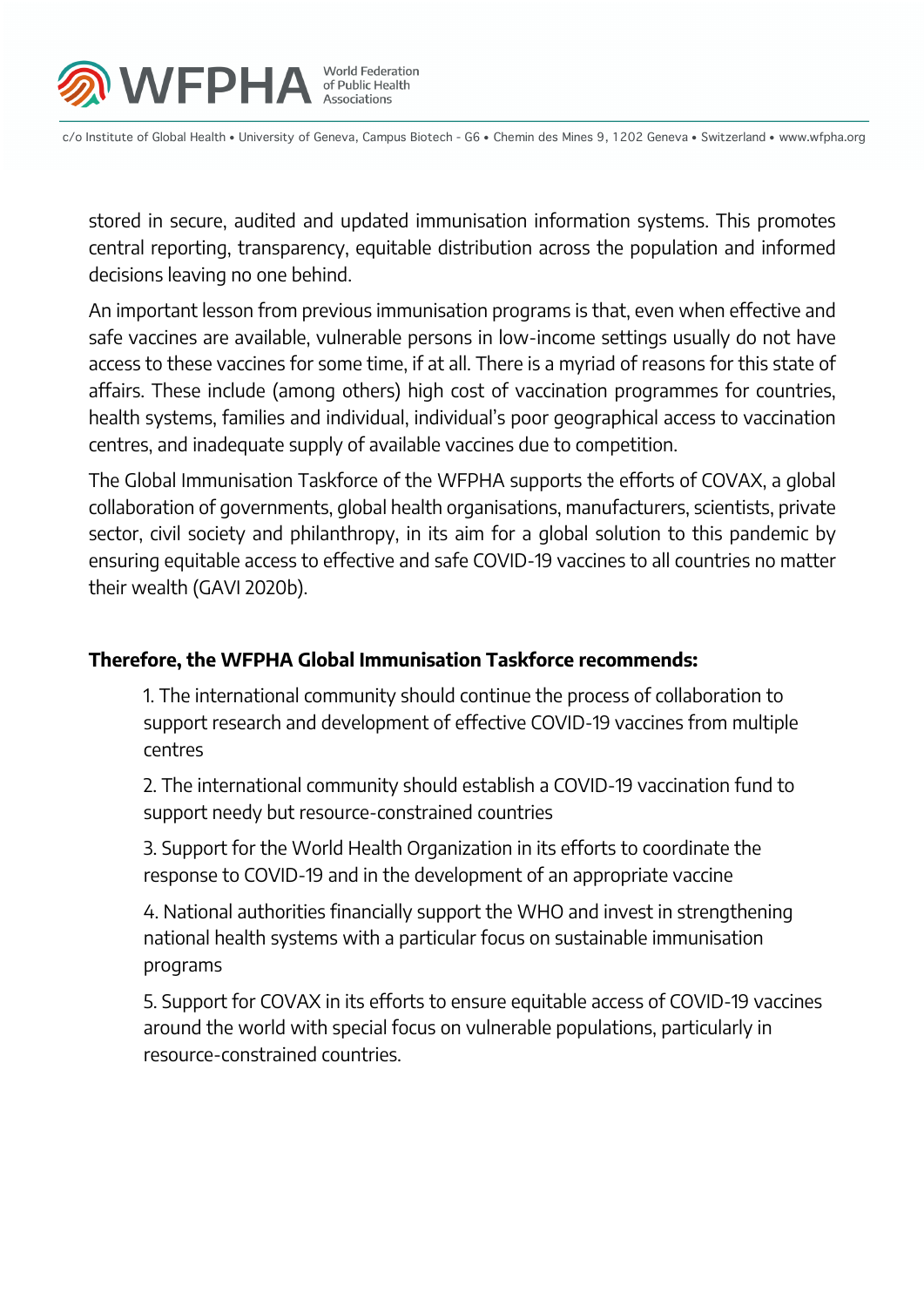

c/o Institute of Global Health • University of Geneva, Campus Biotech - G6 • Chemin des Mines 9, 1202 Geneva • Switzerland • www.wfpha.org

stored in secure, audited and updated immunisation information systems. This promotes central reporting, transparency, equitable distribution across the population and informed decisions leaving no one behind.

An important lesson from previous immunisation programs is that, even when effective and safe vaccines are available, vulnerable persons in low-income settings usually do not have access to these vaccines for some time, if at all. There is a myriad of reasons for this state of affairs. These include (among others) high cost of vaccination programmes for countries, health systems, families and individual, individual's poor geographical access to vaccination centres, and inadequate supply of available vaccines due to competition.

The Global Immunisation Taskforce of the WFPHA supports the efforts of COVAX, a global collaboration of governments, global health organisations, manufacturers, scientists, private sector, civil society and philanthropy, in its aim for a global solution to this pandemic by ensuring equitable access to effective and safe COVID-19 vaccines to all countries no matter their wealth (GAVI 2020b).

### **Therefore, the WFPHA Global Immunisation Taskforce recommends:**

1. The international community should continue the process of collaboration to support research and development of effective COVID-19 vaccines from multiple centres

2. The international community should establish a COVID-19 vaccination fund to support needy but resource-constrained countries

3. Support for the World Health Organization in its efforts to coordinate the response to COVID-19 and in the development of an appropriate vaccine

4. National authorities financially support the WHO and invest in strengthening national health systems with a particular focus on sustainable immunisation programs

5. Support for COVAX in its efforts to ensure equitable access of COVID-19 vaccines around the world with special focus on vulnerable populations, particularly in resource-constrained countries.